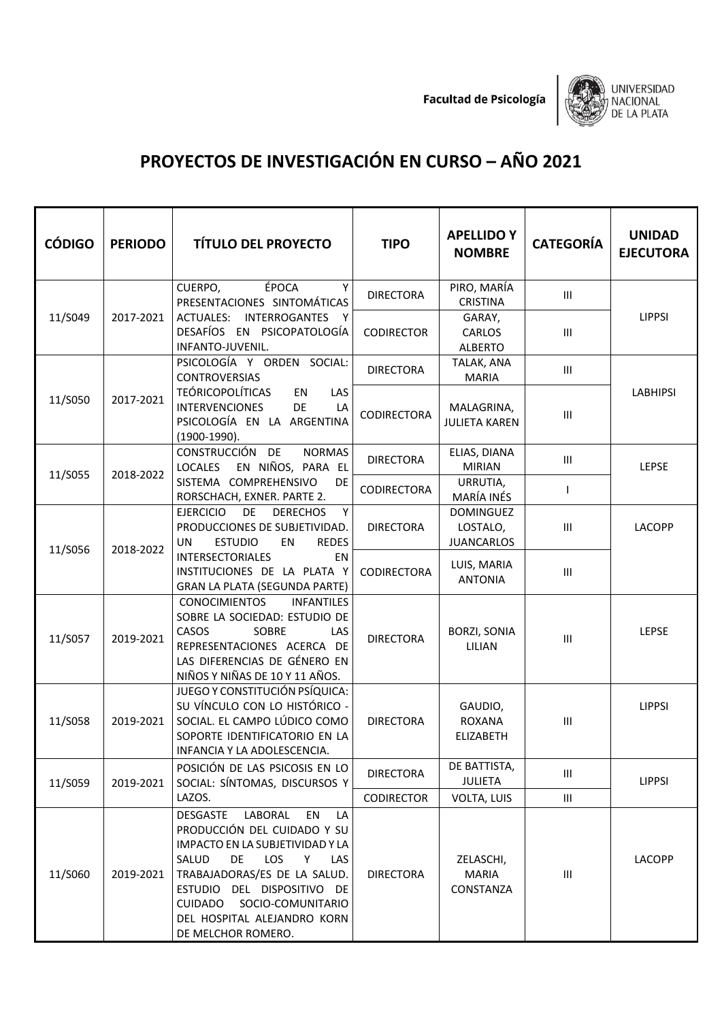**Facultad de Psicología** 



## **PROYECTOS DE INVESTIGACIÓN EN CURSO – AÑO 2021**

| <b>CÓDIGO</b> | <b>PERIODO</b> | <b>TÍTULO DEL PROYECTO</b>                                                                                                                                                                                                                                                                            | <b>TIPO</b>        | <b>APELLIDO Y</b><br><b>NOMBRE</b>                | <b>CATEGORÍA</b>                   | <b>UNIDAD</b><br><b>EJECUTORA</b> |
|---------------|----------------|-------------------------------------------------------------------------------------------------------------------------------------------------------------------------------------------------------------------------------------------------------------------------------------------------------|--------------------|---------------------------------------------------|------------------------------------|-----------------------------------|
|               |                | ÉPOCA<br>Y<br>CUERPO,<br>PRESENTACIONES SINTOMÁTICAS                                                                                                                                                                                                                                                  | <b>DIRECTORA</b>   | PIRO, MARÍA<br><b>CRISTINA</b>                    | $\ensuremath{\mathsf{III}}\xspace$ |                                   |
| 11/S049       | 2017-2021      | ACTUALES: INTERROGANTES Y<br>DESAFÍOS EN PSICOPATOLOGÍA<br>INFANTO-JUVENIL.                                                                                                                                                                                                                           | <b>CODIRECTOR</b>  | GARAY,<br>CARLOS<br><b>ALBERTO</b>                | $\mathop{\rm III}$                 | <b>LIPPSI</b>                     |
| 11/S050       | 2017-2021      | PSICOLOGÍA Y ORDEN SOCIAL:<br><b>CONTROVERSIAS</b>                                                                                                                                                                                                                                                    | <b>DIRECTORA</b>   | TALAK, ANA<br><b>MARIA</b>                        | Ш                                  | <b>LABHIPSI</b>                   |
|               |                | <b>TEÓRICOPOLÍTICAS</b><br>EN<br>LAS<br><b>INTERVENCIONES</b><br>DE<br>LA<br>PSICOLOGÍA EN LA ARGENTINA<br>(1900-1990).                                                                                                                                                                               | <b>CODIRECTORA</b> | MALAGRINA,<br><b>JULIETA KAREN</b>                | $\mathop{\rm III}$                 |                                   |
| 11/S055       | 2018-2022      | CONSTRUCCIÓN DE<br><b>NORMAS</b><br>EN NIÑOS, PARA EL<br><b>LOCALES</b>                                                                                                                                                                                                                               | <b>DIRECTORA</b>   | ELIAS, DIANA<br><b>MIRIAN</b>                     | Ш                                  | LEPSE                             |
|               |                | SISTEMA COMPREHENSIVO<br><b>DE</b><br>RORSCHACH, EXNER. PARTE 2.                                                                                                                                                                                                                                      | CODIRECTORA        | URRUTIA,<br>MARÍA INÉS                            | I                                  |                                   |
| 11/S056       | 2018-2022      | DE<br><b>EJERCICIO</b><br><b>DERECHOS</b><br>Y<br>PRODUCCIONES DE SUBJETIVIDAD.<br><b>ESTUDIO</b><br><b>REDES</b><br><b>UN</b><br>EN                                                                                                                                                                  | <b>DIRECTORA</b>   | <b>DOMINGUEZ</b><br>LOSTALO,<br><b>JUANCARLOS</b> | $\mathop{\rm III}$                 | LACOPP                            |
|               |                | <b>INTERSECTORIALES</b><br>EN<br>INSTITUCIONES DE LA PLATA Y<br><b>GRAN LA PLATA (SEGUNDA PARTE)</b>                                                                                                                                                                                                  | <b>CODIRECTORA</b> | LUIS, MARIA<br><b>ANTONIA</b>                     | $\mathop{\rm III}$                 |                                   |
| 11/S057       | 2019-2021      | <b>CONOCIMIENTOS</b><br><b>INFANTILES</b><br>SOBRE LA SOCIEDAD: ESTUDIO DE<br>CASOS<br>SOBRE<br>LAS<br>REPRESENTACIONES ACERCA DE<br>LAS DIFERENCIAS DE GÉNERO EN<br>NIÑOS Y NIÑAS DE 10 Y 11 AÑOS.                                                                                                   | <b>DIRECTORA</b>   | <b>BORZI, SONIA</b><br>LILIAN                     | Ш                                  | LEPSE                             |
| 11/S058       | 2019-2021      | JUEGO Y CONSTITUCIÓN PSÍQUICA:<br>SU VÍNCULO CON LO HISTÓRICO -<br>SOCIAL. EL CAMPO LÚDICO COMO<br>SOPORTE IDENTIFICATORIO EN LA<br>INFANCIA Y LA ADOLESCENCIA                                                                                                                                        | <b>DIRECTORA</b>   | GAUDIO,<br><b>ROXANA</b><br><b>ELIZABETH</b>      | $\mathop{\rm III}$                 | <b>LIPPSI</b>                     |
| 11/S059       | 2019-2021      | POSICIÓN DE LAS PSICOSIS EN LO<br>SOCIAL: SÍNTOMAS, DISCURSOS Y                                                                                                                                                                                                                                       | <b>DIRECTORA</b>   | DE BATTISTA,<br><b>JULIETA</b>                    | Ш                                  | <b>LIPPSI</b>                     |
|               |                | LAZOS.                                                                                                                                                                                                                                                                                                | <b>CODIRECTOR</b>  | VOLTA, LUIS                                       | $\ensuremath{\mathsf{III}}\xspace$ |                                   |
| 11/S060       | 2019-2021      | LABORAL<br><b>DESGASTE</b><br>EN<br>LA<br>PRODUCCIÓN DEL CUIDADO Y SU<br>IMPACTO EN LA SUBJETIVIDAD Y LA<br>SALUD<br><b>DE</b><br>LOS<br>Y.<br>LAS<br>TRABAJADORAS/ES DE LA SALUD.<br>ESTUDIO DEL DISPOSITIVO DE<br>CUIDADO<br>SOCIO-COMUNITARIO<br>DEL HOSPITAL ALEJANDRO KORN<br>DE MELCHOR ROMERO. | <b>DIRECTORA</b>   | ZELASCHI,<br><b>MARIA</b><br>CONSTANZA            | $\ensuremath{\mathsf{III}}\xspace$ | LACOPP                            |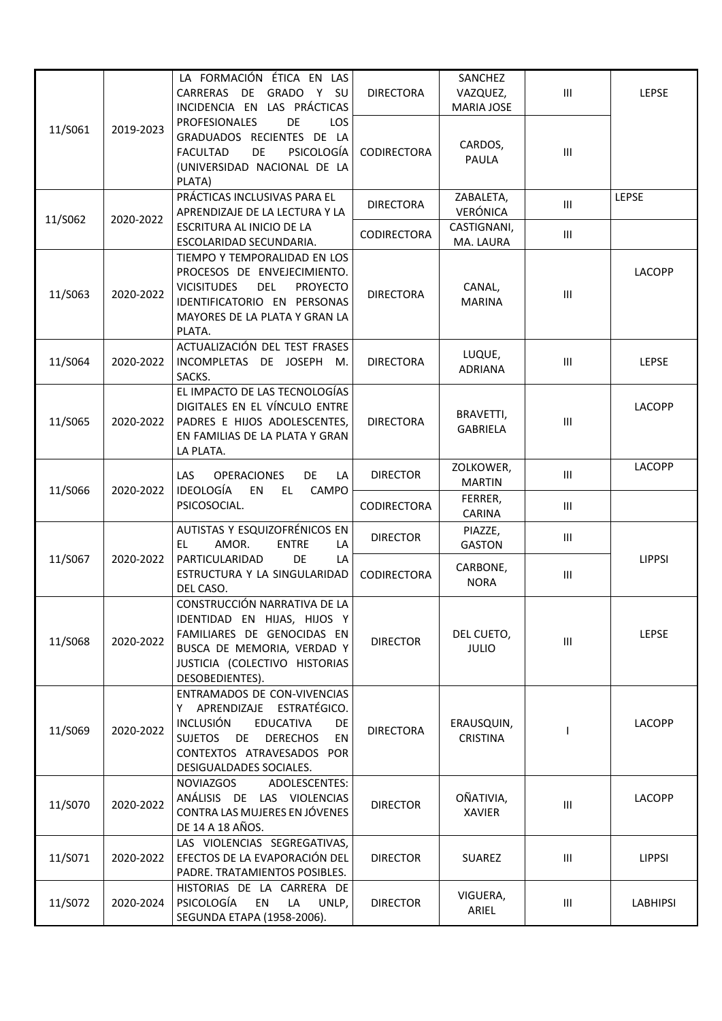|         |           | LA FORMACIÓN ÉTICA EN LAS<br>GRADO Y SU<br>CARRERAS DE<br>INCIDENCIA EN LAS PRÁCTICAS                                                                                                                                   | <b>DIRECTORA</b>   | SANCHEZ<br>VAZQUEZ,<br><b>MARIA JOSE</b> | $\ensuremath{\mathsf{III}}\xspace$ | <b>LEPSE</b>    |
|---------|-----------|-------------------------------------------------------------------------------------------------------------------------------------------------------------------------------------------------------------------------|--------------------|------------------------------------------|------------------------------------|-----------------|
| 11/S061 | 2019-2023 | DE<br><b>PROFESIONALES</b><br>LOS.<br>GRADUADOS RECIENTES DE LA<br>DE<br>PSICOLOGÍA<br><b>FACULTAD</b><br>(UNIVERSIDAD NACIONAL DE LA<br>PLATA)                                                                         | <b>CODIRECTORA</b> | CARDOS,<br>PAULA                         | $\ensuremath{\mathsf{III}}\xspace$ |                 |
| 11/S062 | 2020-2022 | PRÁCTICAS INCLUSIVAS PARA EL<br>APRENDIZAJE DE LA LECTURA Y LA<br>ESCRITURA AL INICIO DE LA<br>ESCOLARIDAD SECUNDARIA.                                                                                                  | <b>DIRECTORA</b>   | ZABALETA,<br>VERÓNICA                    | $\mathbf{III}$                     | <b>LEPSE</b>    |
|         |           |                                                                                                                                                                                                                         | CODIRECTORA        | CASTIGNANI,<br>MA. LAURA                 | Ш                                  |                 |
| 11/S063 | 2020-2022 | TIEMPO Y TEMPORALIDAD EN LOS<br>PROCESOS DE ENVEJECIMIENTO.<br><b>VICISITUDES</b><br><b>DEL</b><br><b>PROYECTO</b><br>IDENTIFICATORIO EN PERSONAS<br>MAYORES DE LA PLATA Y GRAN LA<br>PLATA.                            | <b>DIRECTORA</b>   | CANAL,<br><b>MARINA</b>                  | $\ensuremath{\mathsf{III}}\xspace$ | <b>LACOPP</b>   |
| 11/S064 | 2020-2022 | ACTUALIZACIÓN DEL TEST FRASES<br>INCOMPLETAS DE JOSEPH M.<br>SACKS.                                                                                                                                                     | <b>DIRECTORA</b>   | LUQUE,<br><b>ADRIANA</b>                 | Ш                                  | <b>LEPSE</b>    |
| 11/S065 | 2020-2022 | EL IMPACTO DE LAS TECNOLOGÍAS<br>DIGITALES EN EL VÍNCULO ENTRE<br>PADRES E HIJOS ADOLESCENTES,<br>EN FAMILIAS DE LA PLATA Y GRAN<br>LA PLATA.                                                                           | <b>DIRECTORA</b>   | BRAVETTI,<br><b>GABRIELA</b>             | $\ensuremath{\mathsf{III}}\xspace$ | <b>LACOPP</b>   |
| 11/S066 | 2020-2022 | LAS<br><b>OPERACIONES</b><br><b>DE</b><br>LA<br><b>IDEOLOGÍA</b><br><b>EN</b><br>EL.<br>CAMPO                                                                                                                           | <b>DIRECTOR</b>    | ZOLKOWER,<br><b>MARTIN</b>               | Ш                                  | <b>LACOPP</b>   |
|         |           | PSICOSOCIAL.                                                                                                                                                                                                            | CODIRECTORA        | FERRER,<br>CARINA                        | Ш                                  |                 |
| 11/S067 | 2020-2022 | AUTISTAS Y ESQUIZOFRÉNICOS EN<br>EL.<br>AMOR.<br><b>ENTRE</b><br>LA<br>PARTICULARIDAD<br>DE<br>LA<br>ESTRUCTURA Y LA SINGULARIDAD<br>DEL CASO.                                                                          | <b>DIRECTOR</b>    | PIAZZE,<br><b>GASTON</b>                 | Ш                                  |                 |
|         |           |                                                                                                                                                                                                                         | CODIRECTORA        | CARBONE,<br><b>NORA</b>                  | Ш                                  | <b>LIPPSI</b>   |
| 11/S068 | 2020-2022 | CONSTRUCCIÓN NARRATIVA DE LA<br>IDENTIDAD EN HIJAS, HIJOS Y<br>FAMILIARES DE GENOCIDAS EN<br>BUSCA DE MEMORIA, VERDAD Y<br>JUSTICIA (COLECTIVO HISTORIAS<br>DESOBEDIENTES).                                             | <b>DIRECTOR</b>    | DEL CUETO,<br><b>JULIO</b>               | $\mathbf{III}$                     | <b>LEPSE</b>    |
| 11/S069 | 2020-2022 | ENTRAMADOS DE CON-VIVENCIAS<br>Y APRENDIZAJE ESTRATÉGICO.<br><b>INCLUSIÓN</b><br><b>EDUCATIVA</b><br>DE<br><b>SUJETOS</b><br><b>DE</b><br><b>DERECHOS</b><br>EN<br>CONTEXTOS ATRAVESADOS POR<br>DESIGUALDADES SOCIALES. | <b>DIRECTORA</b>   | ERAUSQUIN,<br><b>CRISTINA</b>            |                                    | <b>LACOPP</b>   |
| 11/S070 | 2020-2022 | NOVIAZGOS<br>ADOLESCENTES:<br>ANÁLISIS DE LAS VIOLENCIAS<br>CONTRA LAS MUJERES EN JÓVENES<br>DE 14 A 18 AÑOS.                                                                                                           | <b>DIRECTOR</b>    | OÑATIVIA,<br><b>XAVIER</b>               | Ш                                  | <b>LACOPP</b>   |
| 11/S071 | 2020-2022 | LAS VIOLENCIAS SEGREGATIVAS,<br>EFECTOS DE LA EVAPORACIÓN DEL<br>PADRE. TRATAMIENTOS POSIBLES.                                                                                                                          | <b>DIRECTOR</b>    | <b>SUAREZ</b>                            | $\ensuremath{\mathsf{III}}\xspace$ | <b>LIPPSI</b>   |
| 11/S072 | 2020-2024 | HISTORIAS DE LA CARRERA DE<br>PSICOLOGÍA<br>EN<br>LA<br>UNLP,<br>SEGUNDA ETAPA (1958-2006).                                                                                                                             | <b>DIRECTOR</b>    | VIGUERA,<br>ARIEL                        | Ш                                  | <b>LABHIPSI</b> |